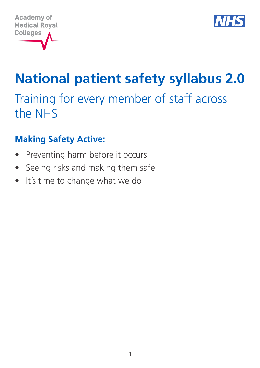



Training for every member of staff across the NHS

# **Making Safety Active:**

- Preventing harm before it occurs
- Seeing risks and making them safe
- It's time to change what we do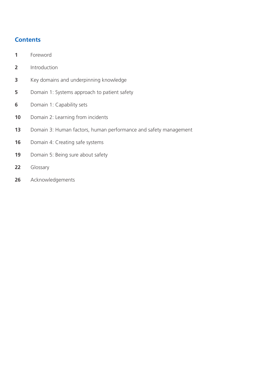# **Contents**

- Foreword
- Introduction
- Key domains and underpinning knowledge
- Domain 1: Systems approach to patient safety
- Domain 1: Capability sets
- Domain 2: Learning from incidents
- Domain 3: Human factors, human performance and safety management
- Domain 4: Creating safe systems
- Domain 5: Being sure about safety
- Glossary
- Acknowledgements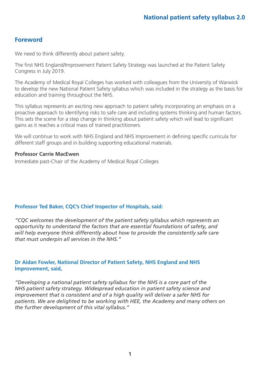# **Foreword**

We need to think differently about patient safety.

The first NHS England/Improvement Patient Safety Strategy was launched at the Patient Safety Congress in July 2019.

The Academy of Medical Royal Colleges has worked with colleagues from the University of Warwick to develop the new National Patient Safety syllabus which was included in the strategy as the basis for education and training throughout the NHS.

This syllabus represents an exciting new approach to patient safety incorporating an emphasis on a proactive approach to identifying risks to safe care and including systems thinking and human factors. This sets the scene for a step change in thinking about patient safety which will lead to significant gains as it reaches a critical mass of trained practitioners.

We will continue to work with NHS England and NHS Improvement in defining specific curricula for different staff groups and in building supporting educational materials.

### **Professor Carrie MacEwen**

Immediate past-Chair of the Academy of Medical Royal Colleges

# **Professor Ted Baker, CQC's Chief Inspector of Hospitals, said:**

*"CQC welcomes the development of the patient safety syllabus which represents an opportunity to understand the factors that are essential foundations of safety, and will help everyone think differently about how to provide the consistently safe care that must underpin all services in the NHS."*

#### **Dr Aidan Fowler, National Director of Patient Safety, NHS England and NHS Improvement, said,**

*"Developing a national patient safety syllabus for the NHS is a core part of the NHS patient safety strategy. Widespread education in patient safety science and improvement that is consistent and of a high quality will deliver a safer NHS for patients. We are delighted to be working with HEE, the Academy and many others on the further development of this vital syllabus."*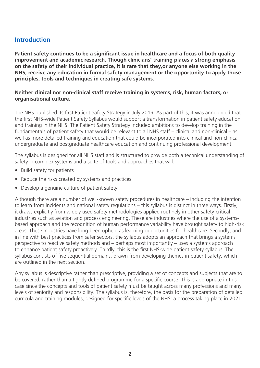# **Introduction**

**Patient safety continues to be a significant issue in healthcare and a focus of both quality improvement and academic research. Though clinicians' training places a strong emphasis on the safety of their individual practice, it is rare that they,or anyone else working in the NHS, receive any education in formal safety management or the opportunity to apply those principles, tools and techniques in creating safe systems.**

#### **Neither clinical nor non-clinical staff receive training in systems, risk, human factors, or organisational culture.**

The NHS published its first Patient Safety Strategy in July 2019. As part of this, it was announced that the first NHS-wide Patient Safety Syllabus would support a transformation in patient safety education and training in the NHS. The Patient Safety Strategy included ambitions to develop training in the fundamentals of patient safety that would be relevant to all NHS staff – clinical and non-clinical – as well as more detailed training and education that could be incorporated into clinical and non-clinical undergraduate and postgraduate healthcare education and continuing professional development.

The syllabus is designed for all NHS staff and is structured to provide both a technical understanding of safety in complex systems and a suite of tools and approaches that will:

- Build safety for patients
- Reduce the risks created by systems and practices
- Develop a genuine culture of patient safety.

Although there are a number of well-known safety procedures in healthcare – including the intention to learn from incidents and national safety regulations – this syllabus is distinct in three ways. Firstly, it draws explicitly from widely used safety methodologies applied routinely in other safety-critical industries such as aviation and process engineering. These are industries where the use of a systemsbased approach and the recognition of human performance variability have brought safety to high-risk areas. These industries have long been upheld as learning opportunities for healthcare. Secondly, and in line with best practices from safer sectors, the syllabus adopts an approach that brings a systems perspective to reactive safety methods and – perhaps most importantly – uses a systems approach to enhance patient safety proactively. Thirdly, this is the first NHS-wide patient safety syllabus. The syllabus consists of five sequential domains, drawn from developing themes in patient safety, which are outlined in the next section.

Any syllabus is descriptive rather than prescriptive, providing a set of concepts and subjects that are to be covered, rather than a tightly defined programme for a specific course. This is appropriate in this case since the concepts and tools of patient safety must be taught across many professions and many levels of seniority and responsibility. The syllabus is, therefore, the basis for the preparation of detailed curricula and training modules, designed for specific levels of the NHS; a process taking place in 2021.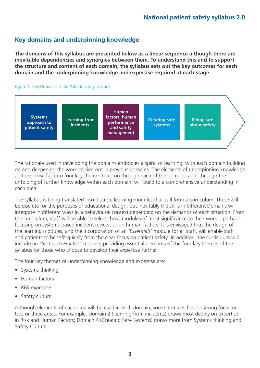# **Key domains and underpinning knowledge**

**The domains of this syllabus are presented below as a linear sequence although there are inevitable dependencies and synergies between them. To understand this and to support the structure and content of each domain, the syllabus sets out the key outcomes for each domain and the underpinning knowledge and expertise required at each stage.**

#### Figure 1. Key Domains in the Patient safety syllabus



The rationale used in developing the domains embodies a spiral of learning, with each domain building on and deepening the work carried out in previous domains. The elements of underpinning knowledge and expertise fall into four key themes that run through each of the domains and, through the unfolding of further knowledge within each domain, will build to a comprehensive understanding in each area.

The syllabus is being translated into discrete learning modules that will form a curriculum. These will be discrete for the purposes of educational design, but inevitably the skills in different Domains will integrate in different ways in a behavioural context depending on the demands of each situation. From the curriculum, staff will be able to select those modules of most significance to their work – perhaps focusing on systems-based incident review, or on human factors. It is envisaged that the design of the learning modules, and the incorporation of an *'Essentials'* module for all staff, will enable staff and patients to benefit quickly from the clear focus on patient safety. In addition, the curriculum will include an *'Access to Practice'* module, providing essential elements of the four key themes of the syllabus for those who choose to develop their expertise further.

The four key themes of underpinning knowledge and expertise are:

- Systems thinking
- Human factors
- Risk expertise
- Safety culture.

Although elements of each area will be used in each domain, some domains have a strong focus on two or three areas. For example, Domain 2 (learning from incidents) draws most deeply on expertise in Risk and Human Factors; Domain 4 (Creating Safe Systems) draws more from Systems thinking and Safety Culture.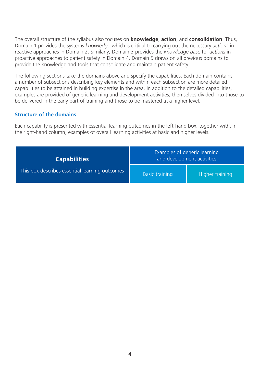The overall structure of the syllabus also focuses on **knowledge**, **action**, and **consolidation**. Thus, Domain 1 provides the systems *knowledge* which is critical to carrying out the necessary *actions* in reactive approaches in Domain 2. Similarly, Domain 3 provides the *knowledge base* for *actions* in proactive approaches to patient safety in Domain 4. Domain 5 draws on all previous domains to provide the knowledge and tools that consolidate and maintain patient safety.

The following sections take the domains above and specify the capabilities. Each domain contains a number of subsections describing key elements and within each subsection are more detailed capabilities to be attained in building expertise in the area. In addition to the detailed capabilities, examples are provided of generic learning and development activities, themselves divided into those to be delivered in the early part of training and those to be mastered at a higher level.

#### **Structure of the domains**

Each capability is presented with essential learning outcomes in the left-hand box, together with, in the right-hand column, examples of overall learning activities at basic and higher levels.

| <b>Capabilities</b>                            | Examples of generic learning<br>and development activities |                 |
|------------------------------------------------|------------------------------------------------------------|-----------------|
| This box describes essential learning outcomes | <b>Basic training</b>                                      | Higher training |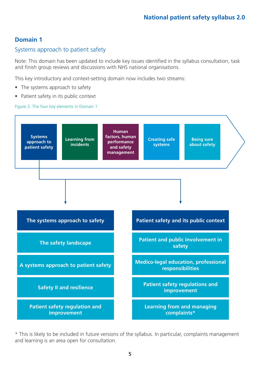### Systems approach to patient safety

Note: This domain has been updated to include key issues identified in the syllabus consultation, task and finish group reviews and discussions with NHS national organisations.

This key introductory and context-setting domain now includes two streams:

- The systems approach to safety
- Patient safety in its public context

#### Figure 2. The four key elements in Domain 1



\* This is likely to be included in future versions of the syllabus. In particular, complaints management and learning is an area open for consultation.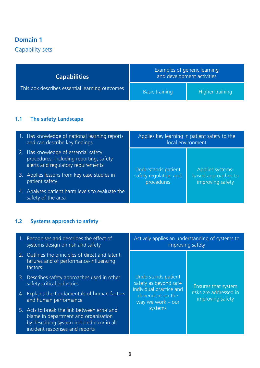Capability sets

| <b>Capabilities</b>                            | Examples of generic learning<br>and development activities |                 |
|------------------------------------------------|------------------------------------------------------------|-----------------|
| This box describes essential learning outcomes | <b>Basic training</b>                                      | Higher training |

# **1.1 The safety Landscape**

| 1. Has knowledge of national learning reports<br>and can describe key findings                                        | Applies key learning in patient safety to the<br>local environment |                                         |
|-----------------------------------------------------------------------------------------------------------------------|--------------------------------------------------------------------|-----------------------------------------|
| 2. Has knowledge of essential safety<br>procedures, including reporting, safety<br>alerts and regulatory requirements | Understands patient                                                | Applies systems-                        |
| 3. Applies lessons from key case studies in<br>patient safety                                                         | safety regulation and<br>procedures                                | based approaches to<br>improving safety |
| 4. Analyses patient harm levels to evaluate the<br>safety of the area                                                 |                                                                    |                                         |

# **1.2 Systems approach to safety**

| 1. Recognises and describes the effect of<br>systems design on risk and safety                                                                                     | Actively applies an understanding of systems to<br>improving safety |                                            |
|--------------------------------------------------------------------------------------------------------------------------------------------------------------------|---------------------------------------------------------------------|--------------------------------------------|
| 2. Outlines the principles of direct and latent<br>failures and of performance-influencing<br>factors                                                              |                                                                     |                                            |
| 3. Describes safety approaches used in other<br>safety-critical industries                                                                                         | Understands patient<br>safety as beyond safe                        | Ensures that system                        |
| 4. Explains the fundamentals of human factors<br>and human performance                                                                                             | individual practice and<br>dependent on the<br>way we work $-$ our  | risks are addressed in<br>improving safety |
| 5. Acts to break the link between error and<br>blame in department and organisation<br>by describing system-induced error in all<br>incident responses and reports | systems                                                             |                                            |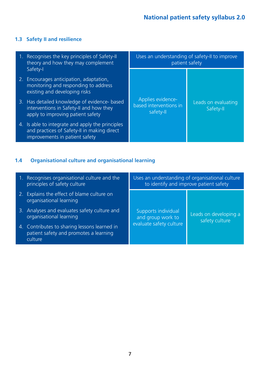# **1.3 Safety II and resilience**

| 1. Recognises the key principles of Safety-II<br>theory and how they may complement                                               | Uses an understanding of safety-II to improve<br>patient safety |                                  |
|-----------------------------------------------------------------------------------------------------------------------------------|-----------------------------------------------------------------|----------------------------------|
| Safety-I<br>2. Encourages anticipation, adaptation,<br>monitoring and responding to address<br>existing and developing risks      |                                                                 |                                  |
| 3. Has detailed knowledge of evidence- based<br>interventions in Safety-II and how they<br>apply to improving patient safety      | Applies evidence-<br>based interventions in<br>safety-II        | Leads on evaluating<br>Safety-II |
| 4. Is able to integrate and apply the principles<br>and practices of Safety-II in making direct<br>improvements in patient safety |                                                                 |                                  |

# **1.4 Organisational culture and organisational learning**

| 1. Recognises organisational culture and the<br>principles of safety culture                      | Uses an understanding of organisational culture<br>to identify and improve patient safety |                                         |
|---------------------------------------------------------------------------------------------------|-------------------------------------------------------------------------------------------|-----------------------------------------|
| 2. Explains the effect of blame culture on<br>organisational learning                             |                                                                                           |                                         |
| 3. Analyses and evaluates safety culture and<br>organisational learning                           | Supports individual<br>and group work to<br>evaluate safety culture                       | Leads on developing a<br>safety culture |
| 4. Contributes to sharing lessons learned in<br>patient safety and promotes a learning<br>culture |                                                                                           |                                         |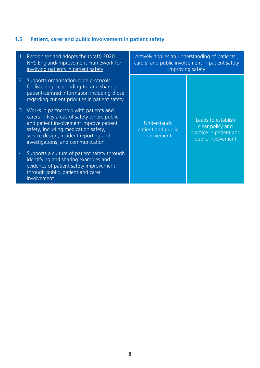# **1.5 Patient, carer and public involvement in patient safety**

| 1. Recognises and adopts the (draft) 2020<br>NHS England/Improvement Framework for<br>involving patients in patient safety                                                                                                                                | Actively applies an understanding of patients',<br>carers' and public involvement in patient safety<br>improving safety |                                                                                         |
|-----------------------------------------------------------------------------------------------------------------------------------------------------------------------------------------------------------------------------------------------------------|-------------------------------------------------------------------------------------------------------------------------|-----------------------------------------------------------------------------------------|
| 2. Supports organisation-wide protocols<br>for listening, responding to, and sharing<br>patient-centred information including those<br>regarding current priorities in patient safety                                                                     |                                                                                                                         |                                                                                         |
| 3. Works in partnership with patients and<br>carers in key areas of safety where public<br>and patient involvement improve patient<br>safety, including medication safety,<br>service design, incident reporting and<br>investigations, and communication | Understands<br>patient and public<br>involvement                                                                        | Leads to establish<br>clear policy and<br>practice in patient and<br>public involvement |
| 4. Supports a culture of patient safety through<br>identifying and sharing examples and<br>evidence of patient safety improvement<br>through public, patient and carer<br>involvement                                                                     |                                                                                                                         |                                                                                         |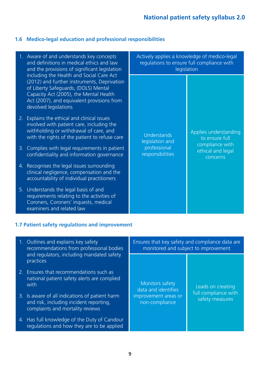#### **1.6 Medico-legal education and professional responsibilities**

- 1. Aware of and understands key concepts and definitions in medical ethics and law and the provisions of significant legislation including the Health and Social Care Act (2012) and further instruments, Deprivation of Liberty Safeguards, (DOLS) Mental Capacity Act (2005), the Mental Health Act (2007), and equivalent provisions from devolved legislations
- 2. Explains the ethical and clinical issues involved with patient care, including the withholding or withdrawal of care, and with the rights of the patient to refuse care
- 3. Complies with legal requirements in patient confidentiality and information governance
- 4. Recognises the legal issues surrounding clinical negligence, compensation and the accountability of individual practitioners
- 5. Understands the legal basis of and requirements relating to the activities of Coroners, Coroners' inquests, medical examiners and related law

| Actively applies a knowledge of medico-legal<br>regulations to ensure full compliance with<br>legislation |                                                                                             |  |
|-----------------------------------------------------------------------------------------------------------|---------------------------------------------------------------------------------------------|--|
| Understands<br>legislation and<br>professional<br>responsibilities                                        | Applies understanding<br>to ensure full<br>compliance with<br>ethical and legal<br>concerns |  |

#### **1.7 Patient safety regulations and improvement**

| 1. Outlines and explains key safety<br>recommendations from professional bodies                                               | Ensures that key safety and compliance data are<br>monitored and subject to improvement |                                         |
|-------------------------------------------------------------------------------------------------------------------------------|-----------------------------------------------------------------------------------------|-----------------------------------------|
| and regulators, including mandated safety<br>practices                                                                        |                                                                                         |                                         |
| 2. Ensures that recommendations such as<br>national patient safety alerts are complied<br>with                                | Monitors safety<br>data and identifies                                                  | Leads on creating                       |
| 3. Is aware of all indications of patient harm<br>and risk, including incident reporting,<br>complaints and mortality reviews | improvement areas or<br>non-compliance                                                  | full compliance with<br>safety measures |
| 4. Has full knowledge of the Duty of Candour<br>regulations and how they are to be applied                                    |                                                                                         |                                         |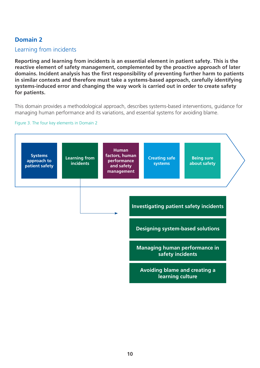### Learning from incidents

**Reporting and learning from incidents is an essential element in patient safety. This is the reactive element of safety management, complemented by the proactive approach of later domains. Incident analysis has the first responsibility of preventing further harm to patients in similar contexts and therefore must take a systems-based approach, carefully identifying systems-induced error and changing the way work is carried out in order to create safety for patients.**

This domain provides a methodological approach, describes systems-based interventions, guidance for managing human performance and its variations, and essential systems for avoiding blame.

#### Figure 3. The four key elements in Domain 2

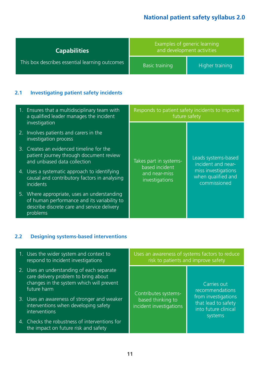| <b>Capabilities</b>                            | Examples of generic learning<br>and development activities |                 |
|------------------------------------------------|------------------------------------------------------------|-----------------|
| This box describes essential learning outcomes | <b>Basic training</b>                                      | Higher training |

# **2.1 Investigating patient safety incidents**

| 1. Ensures that a multidisciplinary team with<br>a qualified leader manages the incident                                                              | Responds to patient safety incidents to improve<br>future safety |                                                           |
|-------------------------------------------------------------------------------------------------------------------------------------------------------|------------------------------------------------------------------|-----------------------------------------------------------|
| investigation<br>2. Involves patients and carers in the                                                                                               |                                                                  |                                                           |
| investigation process                                                                                                                                 |                                                                  |                                                           |
| 3. Creates an evidenced timeline for the<br>patient journey through document review<br>and unbiased data collection                                   | Takes part in systems-                                           | Leads systems-based<br>incident and near-                 |
| 4. Uses a systematic approach to identifying<br>causal and contributory factors in analysing<br>incidents                                             | based incident<br>and near-miss<br>investigations                | miss investigations<br>when qualified and<br>commissioned |
| 5. Where appropriate, uses an understanding<br>of human performance and its variability to<br>describe discrete care and service delivery<br>problems |                                                                  |                                                           |

# **2.2 Designing systems-based interventions**

| 1. Uses the wider system and context to<br>respond to incident investigations                                                                | Uses an awareness of systems factors to reduce<br>risk to patients and improve safety |                                                                               |
|----------------------------------------------------------------------------------------------------------------------------------------------|---------------------------------------------------------------------------------------|-------------------------------------------------------------------------------|
| 2. Uses an understanding of each separate<br>care delivery problem to bring about<br>changes in the system which will prevent<br>future harm | Contributes systems-                                                                  | Carries out<br>recommendations                                                |
| 3. Uses an awareness of stronger and weaker<br>interventions when developing safety<br>interventions                                         | based thinking to<br>incident investigations                                          | from investigations<br>that lead to safety<br>into future clinical<br>systems |
| 4. Checks the robustness of interventions for<br>the impact on future risk and safety                                                        |                                                                                       |                                                                               |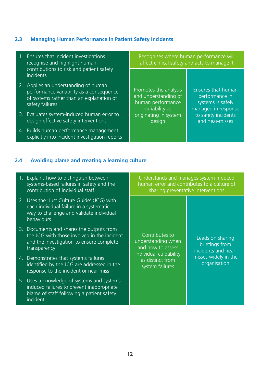# **2.3 Managing Human Performance in Patient Safety Incidents**

| 1. Ensures that incident investigations<br>recognise and highlight human                                                                        | Recognises where human performance will                                              | affect clinical safety and acts to manage it                                     |
|-------------------------------------------------------------------------------------------------------------------------------------------------|--------------------------------------------------------------------------------------|----------------------------------------------------------------------------------|
| contributions to risk and patient safety<br><i>incidents</i>                                                                                    |                                                                                      |                                                                                  |
| 2. Applies an understanding of human<br>performance variability as a consequence<br>of systems rather than an explanation of<br>safety failures | Promotes the analysis<br>and understanding of<br>human performance<br>variability as | Ensures that human<br>performance in<br>systems is safely<br>managed in response |
| 3. Evaluates system-induced human error to<br>design effective safety interventions                                                             | originating in system<br>design                                                      | to safety incidents<br>and near-misses                                           |
| 4. Builds human performance management<br>explicitly into incident investigation reports                                                        |                                                                                      |                                                                                  |
| Avoiding blame and creating a learning culture                                                                                                  |                                                                                      |                                                                                  |

#### **2.4 Avoiding blame and creating a learning culture**

| 1. Explains how to distinguish between<br>systems-based failures in safety and the<br>contribution of individual staff                              | Understands and manages system-induced<br>human error and contributes to a culture of<br>sharing preventative interventions |                                                           |
|-----------------------------------------------------------------------------------------------------------------------------------------------------|-----------------------------------------------------------------------------------------------------------------------------|-----------------------------------------------------------|
| 2. Uses the 'Just Culture Guide' (JCG) with<br>each individual failure in a systematic<br>way to challenge and validate individual<br>behaviours    |                                                                                                                             |                                                           |
| 3. Documents and shares the outputs from<br>the JCG with those involved in the incident<br>and the investigation to ensure complete<br>transparency | Contributes to<br>understanding when<br>and how to assess                                                                   | Leads on sharing<br>briefings from<br>incidents and near- |
| 4. Demonstrates that systems failures<br>identified by the JCG are addressed in the<br>response to the incident or near-miss                        | individual culpability<br>as distinct from<br>system failures                                                               | misses widely in the<br>organisation                      |
| 5. Uses a knowledge of systems and systems-<br>induced failures to prevent inappropriate<br>blame of staff following a patient safety<br>incident   |                                                                                                                             |                                                           |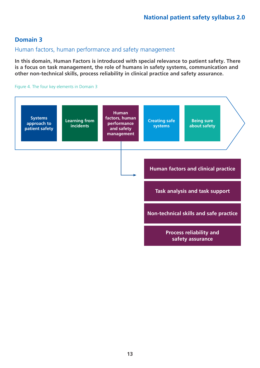#### Human factors, human performance and safety management

**In this domain, Human Factors is introduced with special relevance to patient safety. There is a focus on task management, the role of humans in safety systems, communication and other non-technical skills, process reliability in clinical practice and safety assurance.**

#### Figure 4. The four key elements in Domain 3

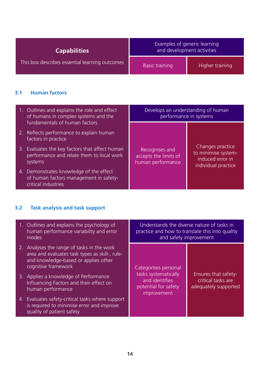| <b>Capabilities</b>                            | Examples of generic learning<br>and development activities |                 |
|------------------------------------------------|------------------------------------------------------------|-----------------|
| This box describes essential learning outcomes | <b>Basic training</b>                                      | Higher training |

### **3.1 Human factors**

| 1. Outlines and explains the role and effect<br>of humans in complex systems and the                     | Develops an understanding of human<br>performance in systems |                                                                |
|----------------------------------------------------------------------------------------------------------|--------------------------------------------------------------|----------------------------------------------------------------|
| fundamentals of human factors<br>2. Reflects performance to explain human                                |                                                              |                                                                |
| factors in practice<br>3. Evaluates the key factors that affect human                                    | Recognises and                                               | Changes practice                                               |
| performance and relate them to local work<br>systems                                                     | accepts the limits of<br>human performance                   | to minimise system-<br>induced error in<br>individual practice |
| 4. Demonstrates knowledge of the effect<br>of human factors management in safety-<br>critical industries |                                                              |                                                                |

# **3.2 Task analysis and task support**

| 1. Outlines and explains the psychology of<br>human performance variability and error<br>modes <sup>'</sup>                                                 | Understands the diverse nature of tasks in                                    | practice and how to translate this into quality<br>and safety improvement |
|-------------------------------------------------------------------------------------------------------------------------------------------------------------|-------------------------------------------------------------------------------|---------------------------------------------------------------------------|
| 2. Analyses the range of tasks in the work<br>area and evaluates task types as skill-, rule-<br>and knowledge-based or applies other<br>cognitive framework | Categorises personal                                                          |                                                                           |
| 3. Applies a knowledge of Performance<br>Influencing Factors and their effect on<br>human performance                                                       | tasks systematically<br>and identifies<br>potential for safety<br>improvement | <b>Ensures that safety-</b><br>critical tasks are<br>adequately supported |
| 4. Evaluates safety-critical tasks where support<br>is required to minimise error and improve<br>quality of patient safety                                  |                                                                               |                                                                           |
|                                                                                                                                                             |                                                                               |                                                                           |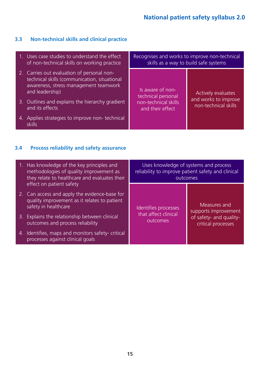# **3.3 Non-technical skills and clinical practice**

| 1. Uses case studies to understand the effect<br>of non-technical skills on working practice                                                           | skills as a way to build safe systems    | Recognises and works to improve non-technical |
|--------------------------------------------------------------------------------------------------------------------------------------------------------|------------------------------------------|-----------------------------------------------|
| 2. Carries out evaluation of personal non-<br>technical skills (communication, situational<br>awareness, stress management teamwork<br>and leadership) | Is aware of non-<br>technical personal   | <b>Actively evaluates</b>                     |
| 3. Outlines and explains the hierarchy gradient<br>and its effects                                                                                     | non-technical skills<br>and their effect | and works to improve<br>non-technical skills  |
| 4. Applies strategies to improve non-technical<br>skills                                                                                               |                                          |                                               |

# **3.4 Process reliability and safety assurance**

| 1. Has knowledge of the key principles and<br>methodologies of quality improvement as<br>they relate to healthcare and evaluates their | reliability to improve patient safety and clinical<br>outcomes | Uses knowledge of systems and process         |
|----------------------------------------------------------------------------------------------------------------------------------------|----------------------------------------------------------------|-----------------------------------------------|
| effect on patient safety                                                                                                               |                                                                |                                               |
| 2. Can access and apply the evidence-base for<br>quality improvement as it relates to patient<br>safety in healthcare                  | Identifies processes                                           | Measures and<br>supports improvement          |
| 3. Explains the relationship between clinical<br>outcomes and process reliability                                                      | that affect clinical<br>outcomes                               | of safety- and quality-<br>critical processes |
| 4. Identifies, maps and monitors safety- critical<br>processes against clinical goals                                                  |                                                                |                                               |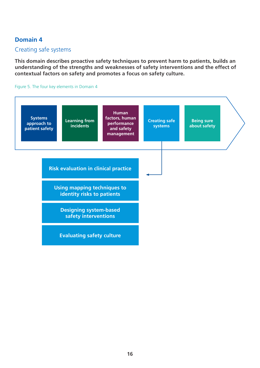### Creating safe systems

**This domain describes proactive safety techniques to prevent harm to patients, builds an understanding of the strengths and weaknesses of safety interventions and the effect of contextual factors on safety and promotes a focus on safety culture.**

Figure 5. The four key elements in Domain 4

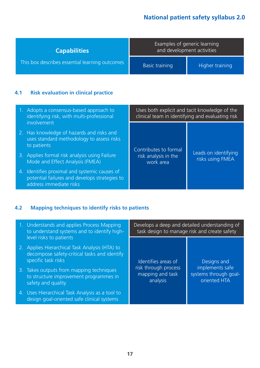|                       | Examples of generic learning<br>and development activities<br><b>Capabilities</b> |  |                 |
|-----------------------|-----------------------------------------------------------------------------------|--|-----------------|
| <b>Basic training</b> | This box describes essential learning outcomes                                    |  | Higher training |

### **4.1 Risk evaluation in clinical practice**

| 1. Adopts a consensus-based approach to<br>identifying risk, with multi-professional                                      | Uses both explicit and tacit knowledge of the<br>clinical team in identifying and evaluating risk |                                          |
|---------------------------------------------------------------------------------------------------------------------------|---------------------------------------------------------------------------------------------------|------------------------------------------|
| involvement<br>2. Has knowledge of hazards and risks and<br>uses standard methodology to assess risks<br>to patients      | Contributes to formal                                                                             |                                          |
| 3. Applies formal risk analysis using Failure<br>Mode and Effect Analysis (FMEA)                                          | risk analysis in the<br>work area                                                                 | Leads on identifying<br>risks using FMEA |
| 4. Identifies proximal and systemic causes of<br>potential failures and develops strategies to<br>address immediate risks |                                                                                                   |                                          |

# **4.2 Mapping techniques to identify risks to patients**

| 1. Understands and applies Process Mapping<br>to understand systems and to identify high-                                                        | task design to manage risk and create safety         | Develops a deep and detailed understanding of            |
|--------------------------------------------------------------------------------------------------------------------------------------------------|------------------------------------------------------|----------------------------------------------------------|
| level risks to patients<br>2. Applies Hierarchical Task Analysis (HTA) to<br>decompose safety-critical tasks and identify<br>specific task risks | Identifies areas of                                  | Designs and                                              |
| 3. Takes outputs from mapping techniques<br>to structure improvement programmes in<br>safety and quality                                         | risk through process<br>mapping and task<br>analysis | implements safe<br>systems through goal-<br>oriented HTA |
| 4. Uses Hierarchical Task Analysis as a tool to<br>design goal-oriented safe clinical systems                                                    |                                                      |                                                          |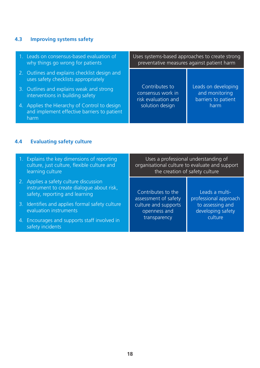# **4.3 Improving systems safety**

| 1. Leads on consensus-based evaluation of<br>why things go wrong for patients                        |                                                            | Uses systems-based approaches to create strong<br>preventative measures against patient harm |
|------------------------------------------------------------------------------------------------------|------------------------------------------------------------|----------------------------------------------------------------------------------------------|
| 2. Outlines and explains checklist design and<br>uses safety checklists appropriately                |                                                            |                                                                                              |
| 3. Outlines and explains weak and strong<br>interventions in building safety                         | Contributes to<br>consensus work in<br>risk evaluation and | Leads on developing<br>and monitoring<br>barriers to patient                                 |
| 4. Applies the Hierarchy of Control to design<br>and implement effective barriers to patient<br>harm | solution design                                            | harm                                                                                         |
| <b>Evaluating safety culture</b><br>4.4                                                              |                                                            |                                                                                              |

| 1. Explains the key dimensions of reporting<br>culture, just culture, flexible culture and<br>learning culture        | the creation of safety culture                       | Uses a professional understanding of<br>organisational culture to evaluate and support |
|-----------------------------------------------------------------------------------------------------------------------|------------------------------------------------------|----------------------------------------------------------------------------------------|
| 2. Applies a safety culture discussion<br>instrument to create dialogue about risk,<br>safety, reporting and learning | Contributes to the<br>assessment of safety           | Leads a multi-<br>professional approach                                                |
| 3. Identifies and applies formal safety culture<br>evaluation instruments                                             | culture and supports<br>openness and<br>transparency | to assessing and<br>developing safety<br>culture                                       |
| 4. Encourages and supports staff involved in<br>safety incidents                                                      |                                                      |                                                                                        |
|                                                                                                                       |                                                      |                                                                                        |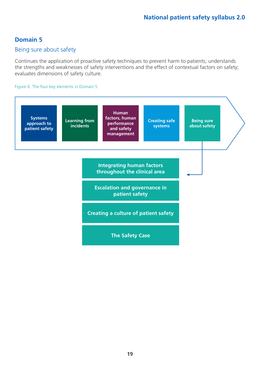#### Being sure about safety

Continues the application of proactive safety techniques to prevent harm to patients; understands the strengths and weaknesses of safety interventions and the effect of contextual factors on safety; evaluates dimensions of safety culture.

#### Figure 6. The four key elements in Domain 5

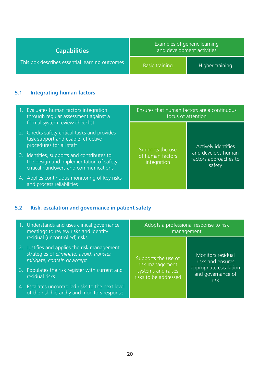| <b>Capabilities</b>                            | Examples of generic learning<br>and development activities |                 |
|------------------------------------------------|------------------------------------------------------------|-----------------|
| This box describes essential learning outcomes | <b>Basic training</b>                                      | Higher training |

i.

# **5.1 Integrating human factors**

| 1. Evaluates human factors integration<br>through regular assessment against a                                                                   | Ensures that human factors are a continuous<br>focus of attention |                                                       |
|--------------------------------------------------------------------------------------------------------------------------------------------------|-------------------------------------------------------------------|-------------------------------------------------------|
| formal system review checklist<br>2. Checks safety-critical tasks and provides<br>task support and usable, effective<br>procedures for all staff | Supports the use                                                  | Actively identifies                                   |
| 3. Identifies, supports and contributes to<br>the design and implementation of safety-<br>critical handovers and communications                  | of human factors<br>integration                                   | and develops human<br>factors approaches to<br>safety |
| 4. Applies continuous monitoring of key risks<br>and process reliabilities                                                                       |                                                                   |                                                       |

# **5.2 Risk, escalation and governance in patient safety**

| 1. Understands and uses clinical governance<br>meetings to review risks and identify<br>residual (uncontrolled) risks    | Adopts a professional response to risk<br>management |                                                     |
|--------------------------------------------------------------------------------------------------------------------------|------------------------------------------------------|-----------------------------------------------------|
| 2. Justifies and applies the risk management<br>strategies of eliminate, avoid, transfer,<br>mitigate, contain or accept | Supports the use of<br>risk management               | Monitors residual<br>risks and ensures              |
| 3. Populates the risk register with current and<br>residual risks                                                        | systems and raises<br>risks to be addressed          | appropriate escalation<br>and governance of<br>risk |
| 4. Escalates uncontrolled risks to the next level<br>of the risk hierarchy and monitors response                         |                                                      |                                                     |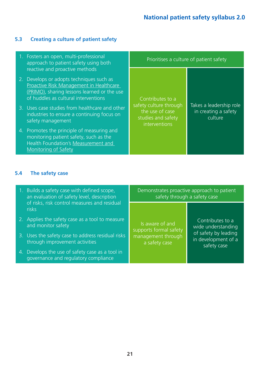# **5.3 Creating a culture of patient safety**

| 1. Fosters an open, multi-professional<br>approach to patient safety using both                                                                                                                              | Prioritises a culture of patient safety                                          |                                                            |
|--------------------------------------------------------------------------------------------------------------------------------------------------------------------------------------------------------------|----------------------------------------------------------------------------------|------------------------------------------------------------|
| reactive and proactive methods<br>2. Develops or adopts techniques such as<br>Proactive Risk Management in Healthcare<br>(PRIMO), sharing lessons learned or the use<br>of huddles as cultural interventions | Contributes to a                                                                 |                                                            |
| 3. Uses case studies from healthcare and other<br>industries to ensure a continuing focus on<br>safety management                                                                                            | safety culture through<br>the use of case<br>studies and safety<br>interventions | Takes a leadership role<br>in creating a safety<br>culture |
| 4. Promotes the principle of measuring and<br>monitoring patient safety, such as the<br>Health Foundation's Measurement and<br><b>Monitoring of Safety</b>                                                   |                                                                                  |                                                            |

# **5.4 The safety case**

| 1. Builds a safety case with defined scope,<br>an evaluation of safety level, description | Demonstrates proactive approach to patient<br>safety through a safety case |                                                            |
|-------------------------------------------------------------------------------------------|----------------------------------------------------------------------------|------------------------------------------------------------|
| of risks, risk control measures and residual<br>risks                                     |                                                                            |                                                            |
| 2. Applies the safety case as a tool to measure<br>and monitor safety                     | Is aware of and<br>supports formal safety                                  | Contributes to a<br>wide understanding                     |
| 3. Uses the safety case to address residual risks<br>through improvement activities       | management through<br>a safety case                                        | of safety by leading<br>in development of a<br>safety case |
| 4. Develops the use of safety case as a tool in<br>governance and regulatory compliance   |                                                                            |                                                            |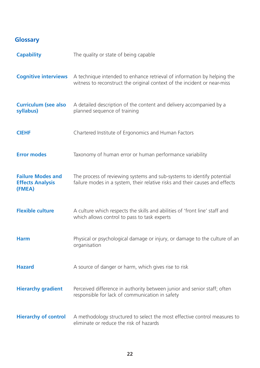# **Glossary**

| <b>Capability</b>                                             | The quality or state of being capable                                                                                                                  |
|---------------------------------------------------------------|--------------------------------------------------------------------------------------------------------------------------------------------------------|
| <b>Cognitive interviews</b>                                   | A technique intended to enhance retrieval of information by helping the<br>witness to reconstruct the original context of the incident or near-miss    |
| <b>Curriculum (see also</b><br>syllabus)                      | A detailed description of the content and delivery accompanied by a<br>planned sequence of training                                                    |
| <b>CIEHF</b>                                                  | Chartered Institute of Ergonomics and Human Factors                                                                                                    |
| <b>Error modes</b>                                            | Taxonomy of human error or human performance variability                                                                                               |
| <b>Failure Modes and</b><br><b>Effects Analysis</b><br>(FMEA) | The process of reviewing systems and sub-systems to identify potential<br>failure modes in a system, their relative risks and their causes and effects |
| <b>Flexible culture</b>                                       | A culture which respects the skills and abilities of 'front line' staff and<br>which allows control to pass to task experts                            |
| <b>Harm</b>                                                   | Physical or psychological damage or injury, or damage to the culture of an<br>organisation                                                             |
| <b>Hazard</b>                                                 | A source of danger or harm, which gives rise to risk                                                                                                   |
| <b>Hierarchy gradient</b>                                     | Perceived difference in authority between junior and senior staff; often<br>responsible for lack of communication in safety                            |
| <b>Hierarchy of control</b>                                   | A methodology structured to select the most effective control measures to<br>eliminate or reduce the risk of hazards                                   |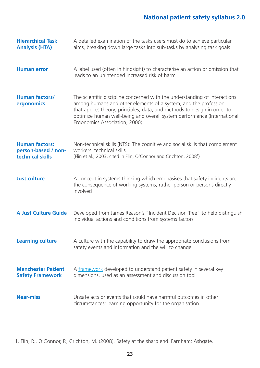| <b>Hierarchical Task</b><br><b>Analysis (HTA)</b>                | A detailed examination of the tasks users must do to achieve particular<br>aims, breaking down large tasks into sub-tasks by analysing task goals                                                                                                                                                                                     |
|------------------------------------------------------------------|---------------------------------------------------------------------------------------------------------------------------------------------------------------------------------------------------------------------------------------------------------------------------------------------------------------------------------------|
| <b>Human error</b>                                               | A label used (often in hindsight) to characterise an action or omission that<br>leads to an unintended increased risk of harm                                                                                                                                                                                                         |
| <b>Human factors/</b><br>ergonomics                              | The scientific discipline concerned with the understanding of interactions<br>among humans and other elements of a system, and the profession<br>that applies theory, principles, data, and methods to design in order to<br>optimize human well-being and overall system performance (International<br>Ergonomics Association, 2000) |
| <b>Human factors:</b><br>person-based / non-<br>technical skills | Non-technical skills (NTS): The cognitive and social skills that complement<br>workers' technical skills<br>(Flin et al., 2003, cited in Flin, O'Connor and Crichton, 2008 <sup>1</sup> )                                                                                                                                             |
| <b>Just culture</b>                                              | A concept in systems thinking which emphasises that safety incidents are<br>the consequence of working systems, rather person or persons directly<br>involved                                                                                                                                                                         |
| <b>A Just Culture Guide</b>                                      | Developed from James Reason's "Incident Decision Tree" to help distinguish<br>individual actions and conditions from systems factors                                                                                                                                                                                                  |
| <b>Learning culture</b>                                          | A culture with the capability to draw the appropriate conclusions from<br>safety events and information and the will to change                                                                                                                                                                                                        |
| <b>Manchester Patient</b><br><b>Safety Framework</b>             | A framework developed to understand patient safety in several key<br>dimensions, used as an assessment and discussion tool                                                                                                                                                                                                            |
| <b>Near-miss</b>                                                 | Unsafe acts or events that could have harmful outcomes in other<br>circumstances; learning opportunity for the organisation                                                                                                                                                                                                           |

1. Flin, R., O'Connor, P., Crichton, M. (2008). Safety at the sharp end. Farnham: Ashgate.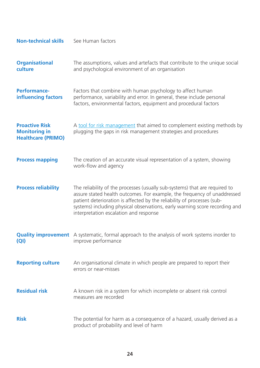| <b>Non-technical skills</b>                                                | See Human factors                                                                                                                                                                                                                                                                                                                                           |
|----------------------------------------------------------------------------|-------------------------------------------------------------------------------------------------------------------------------------------------------------------------------------------------------------------------------------------------------------------------------------------------------------------------------------------------------------|
| <b>Organisational</b><br>culture                                           | The assumptions, values and artefacts that contribute to the unique social<br>and psychological environment of an organisation                                                                                                                                                                                                                              |
| <b>Performance-</b><br>influencing factors                                 | Factors that combine with human psychology to affect human<br>performance, variability and error. In general, these include personal<br>factors, environmental factors, equipment and procedural factors                                                                                                                                                    |
| <b>Proactive Risk</b><br><b>Monitoring in</b><br><b>Healthcare (PRIMO)</b> | A tool for risk management that aimed to complement existing methods by<br>plugging the gaps in risk management strategies and procedures                                                                                                                                                                                                                   |
| <b>Process mapping</b>                                                     | The creation of an accurate visual representation of a system, showing<br>work-flow and agency                                                                                                                                                                                                                                                              |
| <b>Process reliability</b>                                                 | The reliability of the processes (usually sub-systems) that are required to<br>assure stated health outcomes. For example, the frequency of unaddressed<br>patient deterioration is affected by the reliability of processes (sub-<br>systems) including physical observations, early warning score recording and<br>interpretation escalation and response |
| $\left($ QI $\right)$                                                      | <b>Quality improvement</b> A systematic, formal approach to the analysis of work systems inorder to<br>improve performance                                                                                                                                                                                                                                  |
| <b>Reporting culture</b>                                                   | An organisational climate in which people are prepared to report their<br>errors or near-misses                                                                                                                                                                                                                                                             |
| <b>Residual risk</b>                                                       | A known risk in a system for which incomplete or absent risk control<br>measures are recorded                                                                                                                                                                                                                                                               |
| <b>Risk</b>                                                                | The potential for harm as a consequence of a hazard, usually derived as a<br>product of probability and level of harm                                                                                                                                                                                                                                       |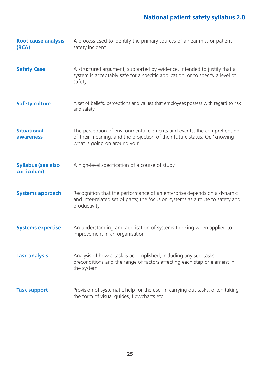| <b>Root cause analysis</b><br>(RCA)      | A process used to identify the primary sources of a near-miss or patient<br>safety incident                                                                                         |
|------------------------------------------|-------------------------------------------------------------------------------------------------------------------------------------------------------------------------------------|
| <b>Safety Case</b>                       | A structured argument, supported by evidence, intended to justify that a<br>system is acceptably safe for a specific application, or to specify a level of<br>safety                |
| <b>Safety culture</b>                    | A set of beliefs, perceptions and values that employees possess with regard to risk<br>and safety                                                                                   |
| <b>Situational</b><br>awareness          | The perception of environmental elements and events, the comprehension<br>of their meaning, and the projection of their future status. Or, 'knowing<br>what is going on around you' |
| <b>Syllabus (see also</b><br>curriculum) | A high-level specification of a course of study                                                                                                                                     |
| <b>Systems approach</b>                  | Recognition that the performance of an enterprise depends on a dynamic<br>and inter-related set of parts; the focus on systems as a route to safety and<br>productivity             |
| <b>Systems expertise</b>                 | An understanding and application of systems thinking when applied to<br>improvement in an organisation                                                                              |
| <b>Task analysis</b>                     | Analysis of how a task is accomplished, including any sub-tasks,<br>preconditions and the range of factors affecting each step or element in<br>the system                          |
| <b>Task support</b>                      | Provision of systematic help for the user in carrying out tasks, often taking<br>the form of visual guides, flowcharts etc                                                          |